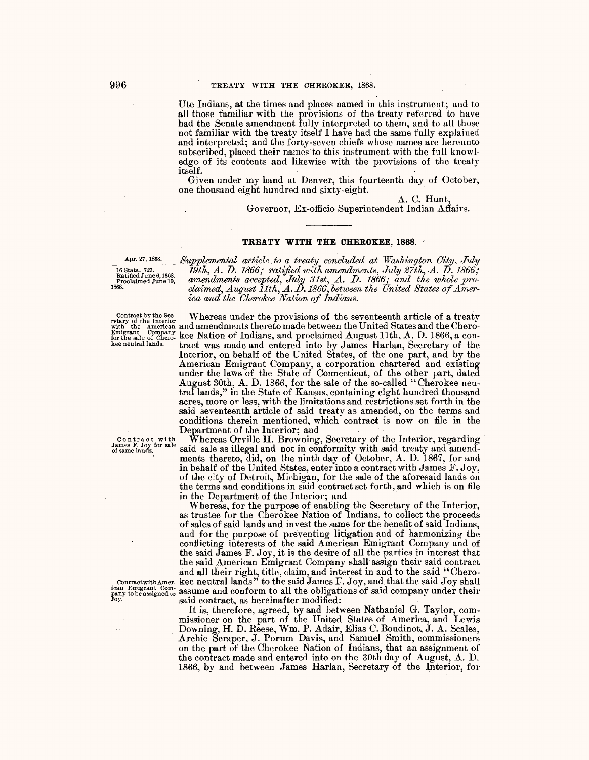Ute Indians, at the times and places named in this instrument; and to all those familiar with the provisions of the treaty referred to have had the Senate amendment fully interpreted to them, and to all those not familiar with the treaty itself I have had the same fully explained and interpreted; and the forty-seven chiefs whose names are hereunto subscribed, placed their names to this instrument with the full knowledge of its contents and likewise with the provisions of the treaty itself.

Given under my hand at Denver, this fourteenth day of October, one thousand eight hundred and sixty-eight.

A. C. Hunt,

Governor, Ex-officio 8uperintendent Indian Affairs.

## **TREATY WITH THE CHEROKEE, 1868.** '

16 Stats., 727.<br>Ratified June 6, 1868. Proclaimed June 10,<br>1868.

Apr. 27, 1868. Supplemental article to a treaty concluded at Washington City, July *19th, A. D. 1866; ratified with amendments, July '27th., A. D. 1866;*  amendments accepted, July 31st, A. D. 1866; and the whole pro*claimed, August 11th, A. I>.1866, between the United States of Amer-* 1868. *ica and the Cherokee Nation of Indians.* 

Contract by the Sec- Whereas under the provisions of the seventeenth article of a treaty of the Interior • *v* ith the Interior **v** ith the American and amendments thereto made between the United States and the Chero- $_{\rm{for~the~safe~of~Chero}}$  kee Nation of Indians, and proclaimed August 11th, A. D. 1866, a conkee neutral Iands. tract was made and entered into by James Harlan, Secretary of the Interior, on behalf of the United States, of the one part, and by the American Emigrant Company, a corporation chartered and existing under the laws of the State of Connecticut, of the other part, dated August 30th, A. D. 1866, for the sale of the so-called "Cherokee neutral lands," in the State of Kansas, containing eight hundred thousand acres, more or less, with the limitations and restrictions set forth in the said seventeenth article of said treaty as amended, on the terms and conditions therein mentioned, which contract is now on file in the

Department of the Interior; and<br>
contract with Whereas Orville H. Browning, Secretary of the Interior, regarding<br>
James F. Joy for sale said sale as illegal and not in conformity with said treaty and amend-<br>
ments thereto, in behalf of the United States, enter into a contract with James F. Joy, of the city of Detroit, Michigan, for the sale of the aforesaid lands on the terms and conditions in said contract set forth, and which is on file in the Department of the Interior; and

Whereas, for the purpose of enabling the Secretary of the Interior, as trustee for the Cherokee Nation of Indians, to collect the proceeds of sales of said lands and invest the same for the benefit of said Indians, and for the purpose of preventing litigation and of harmonizing the conflicting interests of the said American Emigrant Company and of the said James F. Joy, it is the desire of all the parties in interest that the said American Emigrant Company shall-assign their said contract and all their right, title, claim, and interest in and to the said "CheroeontractwithAmer- kee neutral lands" to the said James F. Joy, and that the said Joy shall  $\frac{1}{1000}$  Enigrant Com-<br>pany to be assigned to assume and conform to all the obligations of said company under their Joy. said contract, as hereinafter modified: said contract, as hereinafter modified:<br>It is, therefore, agreed, by and between Nathaniel G. Taylor, com-

missioner on the part of the United States of America, and Lewis Downing, H. D. Reese, Wm. P. Adair, Elias C. Boudinot, J. A. Scales, Archie Scraper, J. Porum Davis, and Samuel Smith, commissioners on the part of the Cherokee Nation of Indians, that an assignment of the contract made and entered into on the 30th day of August, A. D. 1866, by and between James Harlan, Secretary of the Interior, for